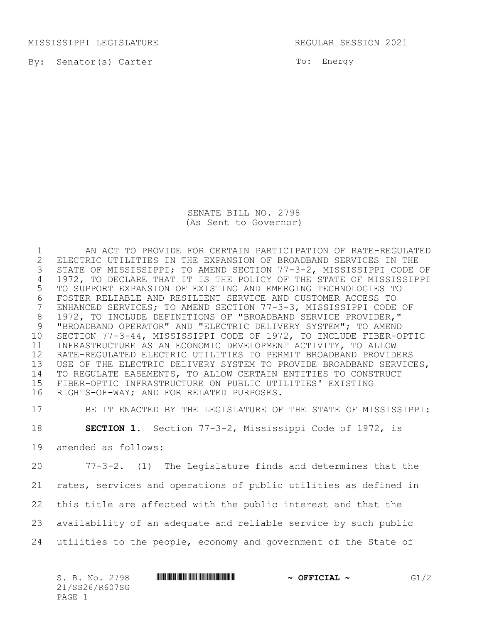MISSISSIPPI LEGISLATURE **REGULAR SESSION 2021** 

By: Senator(s) Carter

To: Energy

SENATE BILL NO. 2798 (As Sent to Governor)

 AN ACT TO PROVIDE FOR CERTAIN PARTICIPATION OF RATE-REGULATED 2 ELECTRIC UTILITIES IN THE EXPANSION OF BROADBAND SERVICES IN THE<br>3 STATE OF MISSISSIPPI; TO AMEND SECTION 77-3-2, MISSISSIPPI CODE STATE OF MISSISSIPPI; TO AMEND SECTION 77-3-2, MISSISSIPPI CODE OF 1972, TO DECLARE THAT IT IS THE POLICY OF THE STATE OF MISSISSIPPI TO SUPPORT EXPANSION OF EXISTING AND EMERGING TECHNOLOGIES TO 6 FOSTER RELIABLE AND RESILIENT SERVICE AND CUSTOMER ACCESS TO<br>7 ENHANCED SERVICES; TO AMEND SECTION 77-3-3, MISSISSIPPI CODE ENHANCED SERVICES; TO AMEND SECTION 77-3-3, MISSISSIPPI CODE OF 1972, TO INCLUDE DEFINITIONS OF "BROADBAND SERVICE PROVIDER," "BROADBAND OPERATOR" AND "ELECTRIC DELIVERY SYSTEM"; TO AMEND SECTION 77-3-44, MISSISSIPPI CODE OF 1972, TO INCLUDE FIBER-OPTIC INFRASTRUCTURE AS AN ECONOMIC DEVELOPMENT ACTIVITY, TO ALLOW RATE-REGULATED ELECTRIC UTILITIES TO PERMIT BROADBAND PROVIDERS USE OF THE ELECTRIC DELIVERY SYSTEM TO PROVIDE BROADBAND SERVICES, TO REGULATE EASEMENTS, TO ALLOW CERTAIN ENTITIES TO CONSTRUCT FIBER-OPTIC INFRASTRUCTURE ON PUBLIC UTILITIES' EXISTING RIGHTS-OF-WAY; AND FOR RELATED PURPOSES.

BE IT ENACTED BY THE LEGISLATURE OF THE STATE OF MISSISSIPPI:

**SECTION 1.** Section 77-3-2, Mississippi Code of 1972, is

amended as follows:

 77-3-2. (1) The Legislature finds and determines that the rates, services and operations of public utilities as defined in this title are affected with the public interest and that the availability of an adequate and reliable service by such public utilities to the people, economy and government of the State of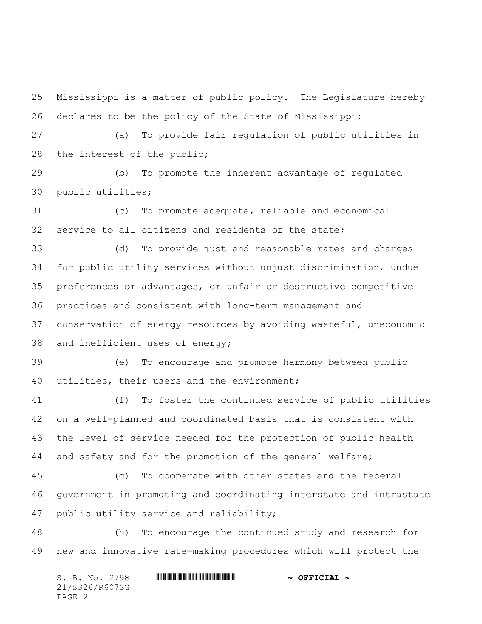Mississippi is a matter of public policy. The Legislature hereby declares to be the policy of the State of Mississippi:

 (a) To provide fair regulation of public utilities in 28 the interest of the public;

 (b) To promote the inherent advantage of regulated public utilities;

 (c) To promote adequate, reliable and economical service to all citizens and residents of the state;

 (d) To provide just and reasonable rates and charges for public utility services without unjust discrimination, undue preferences or advantages, or unfair or destructive competitive practices and consistent with long-term management and conservation of energy resources by avoiding wasteful, uneconomic and inefficient uses of energy;

 (e) To encourage and promote harmony between public utilities, their users and the environment;

 (f) To foster the continued service of public utilities on a well-planned and coordinated basis that is consistent with the level of service needed for the protection of public health and safety and for the promotion of the general welfare;

 (g) To cooperate with other states and the federal government in promoting and coordinating interstate and intrastate 47 public utility service and reliability;

 (h) To encourage the continued study and research for new and innovative rate-making procedures which will protect the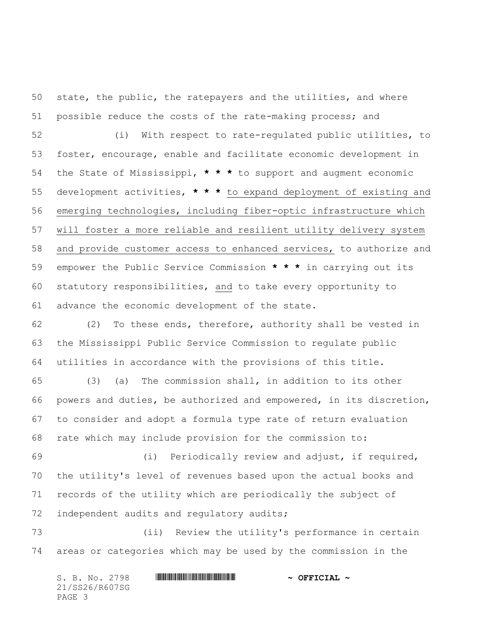state, the public, the ratepayers and the utilities, and where possible reduce the costs of the rate-making process; and (i) With respect to rate-regulated public utilities, to foster, encourage, enable and facilitate economic development in the State of Mississippi, **\* \* \*** to support and augment economic development activities, **\* \* \*** to expand deployment of existing and emerging technologies, including fiber-optic infrastructure which will foster a more reliable and resilient utility delivery system and provide customer access to enhanced services, to authorize and empower the Public Service Commission **\* \* \*** in carrying out its statutory responsibilities, and to take every opportunity to advance the economic development of the state.

 (2) To these ends, therefore, authority shall be vested in the Mississippi Public Service Commission to regulate public utilities in accordance with the provisions of this title.

 (3) (a) The commission shall, in addition to its other powers and duties, be authorized and empowered, in its discretion, to consider and adopt a formula type rate of return evaluation rate which may include provision for the commission to:

 (i) Periodically review and adjust, if required, the utility's level of revenues based upon the actual books and records of the utility which are periodically the subject of 72 independent audits and regulatory audits;

 (ii) Review the utility's performance in certain areas or categories which may be used by the commission in the

| S. B. No. 2798 | $\sim$ OFFICIAL $\sim$ |
|----------------|------------------------|
| 21/SS26/R607SG |                        |
| PAGE 3         |                        |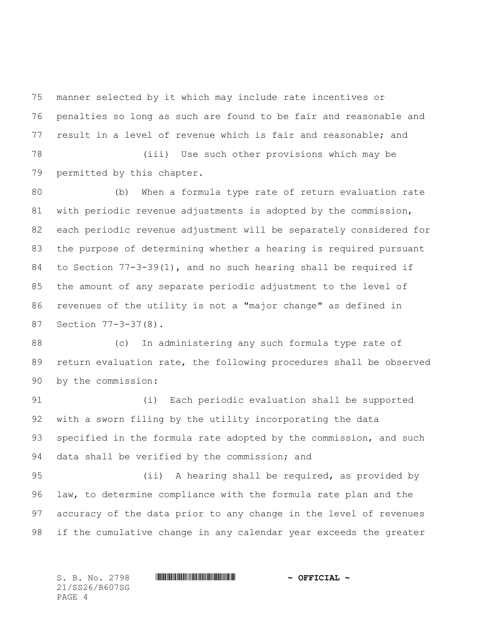manner selected by it which may include rate incentives or penalties so long as such are found to be fair and reasonable and result in a level of revenue which is fair and reasonable; and (iii) Use such other provisions which may be

permitted by this chapter.

 (b) When a formula type rate of return evaluation rate with periodic revenue adjustments is adopted by the commission, each periodic revenue adjustment will be separately considered for the purpose of determining whether a hearing is required pursuant to Section 77-3-39(1), and no such hearing shall be required if the amount of any separate periodic adjustment to the level of revenues of the utility is not a "major change" as defined in Section 77-3-37(8).

 (c) In administering any such formula type rate of return evaluation rate, the following procedures shall be observed by the commission:

 (i) Each periodic evaluation shall be supported with a sworn filing by the utility incorporating the data 93 specified in the formula rate adopted by the commission, and such data shall be verified by the commission; and

 (ii) A hearing shall be required, as provided by law, to determine compliance with the formula rate plan and the accuracy of the data prior to any change in the level of revenues if the cumulative change in any calendar year exceeds the greater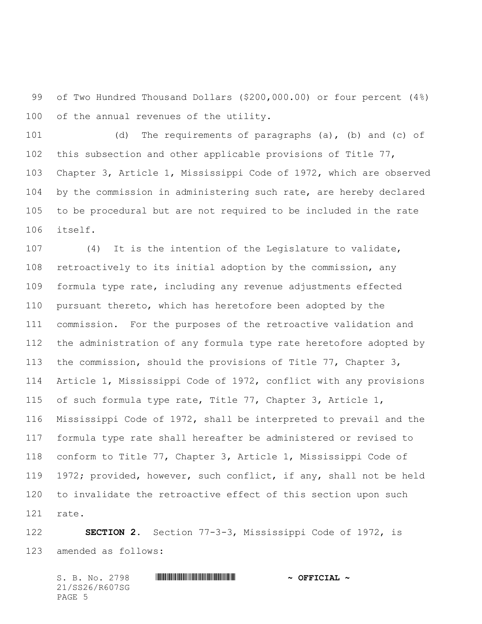of Two Hundred Thousand Dollars (\$200,000.00) or four percent (4%) of the annual revenues of the utility.

 (d) The requirements of paragraphs (a), (b) and (c) of this subsection and other applicable provisions of Title 77, Chapter 3, Article 1, Mississippi Code of 1972, which are observed by the commission in administering such rate, are hereby declared to be procedural but are not required to be included in the rate itself.

 (4) It is the intention of the Legislature to validate, retroactively to its initial adoption by the commission, any formula type rate, including any revenue adjustments effected pursuant thereto, which has heretofore been adopted by the commission. For the purposes of the retroactive validation and the administration of any formula type rate heretofore adopted by the commission, should the provisions of Title 77, Chapter 3, Article 1, Mississippi Code of 1972, conflict with any provisions of such formula type rate, Title 77, Chapter 3, Article 1, Mississippi Code of 1972, shall be interpreted to prevail and the formula type rate shall hereafter be administered or revised to conform to Title 77, Chapter 3, Article 1, Mississippi Code of 1972; provided, however, such conflict, if any, shall not be held to invalidate the retroactive effect of this section upon such rate.

 **SECTION 2.** Section 77-3-3, Mississippi Code of 1972, is amended as follows: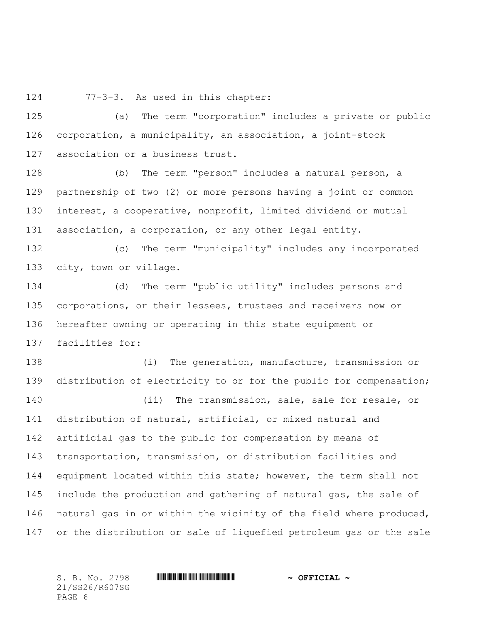77-3-3. As used in this chapter:

 (a) The term "corporation" includes a private or public corporation, a municipality, an association, a joint-stock association or a business trust.

 (b) The term "person" includes a natural person, a partnership of two (2) or more persons having a joint or common interest, a cooperative, nonprofit, limited dividend or mutual association, a corporation, or any other legal entity.

 (c) The term "municipality" includes any incorporated city, town or village.

 (d) The term "public utility" includes persons and corporations, or their lessees, trustees and receivers now or hereafter owning or operating in this state equipment or facilities for:

 (i) The generation, manufacture, transmission or distribution of electricity to or for the public for compensation;

 (ii) The transmission, sale, sale for resale, or distribution of natural, artificial, or mixed natural and artificial gas to the public for compensation by means of transportation, transmission, or distribution facilities and 144 equipment located within this state; however, the term shall not 145 include the production and gathering of natural gas, the sale of natural gas in or within the vicinity of the field where produced, or the distribution or sale of liquefied petroleum gas or the sale

21/SS26/R607SG PAGE 6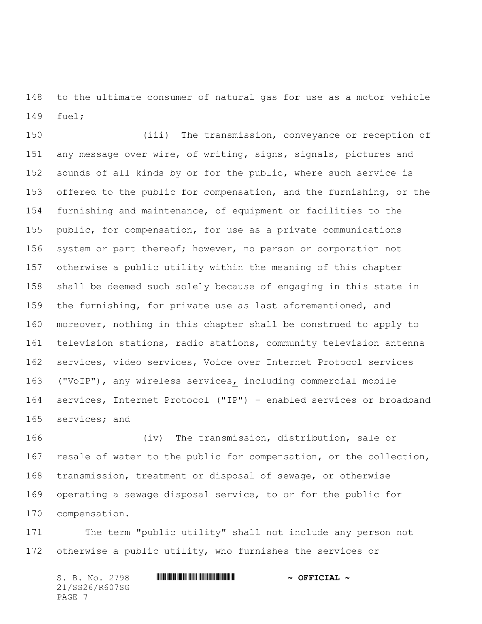to the ultimate consumer of natural gas for use as a motor vehicle fuel;

 (iii) The transmission, conveyance or reception of any message over wire, of writing, signs, signals, pictures and sounds of all kinds by or for the public, where such service is offered to the public for compensation, and the furnishing, or the furnishing and maintenance, of equipment or facilities to the public, for compensation, for use as a private communications system or part thereof; however, no person or corporation not otherwise a public utility within the meaning of this chapter shall be deemed such solely because of engaging in this state in the furnishing, for private use as last aforementioned, and moreover, nothing in this chapter shall be construed to apply to television stations, radio stations, community television antenna services, video services, Voice over Internet Protocol services ("VoIP"), any wireless services, including commercial mobile services, Internet Protocol ("IP") - enabled services or broadband services; and

166 (iv) The transmission, distribution, sale or resale of water to the public for compensation, or the collection, transmission, treatment or disposal of sewage, or otherwise operating a sewage disposal service, to or for the public for compensation.

 The term "public utility" shall not include any person not otherwise a public utility, who furnishes the services or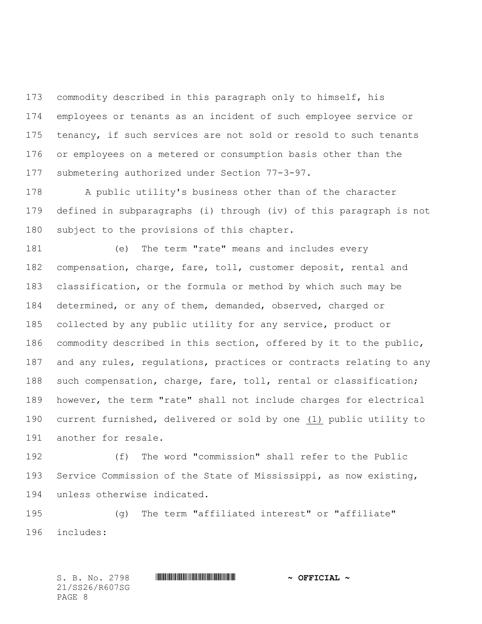commodity described in this paragraph only to himself, his employees or tenants as an incident of such employee service or tenancy, if such services are not sold or resold to such tenants or employees on a metered or consumption basis other than the submetering authorized under Section 77-3-97.

 A public utility's business other than of the character defined in subparagraphs (i) through (iv) of this paragraph is not subject to the provisions of this chapter.

 (e) The term "rate" means and includes every compensation, charge, fare, toll, customer deposit, rental and classification, or the formula or method by which such may be determined, or any of them, demanded, observed, charged or collected by any public utility for any service, product or commodity described in this section, offered by it to the public, and any rules, regulations, practices or contracts relating to any such compensation, charge, fare, toll, rental or classification; however, the term "rate" shall not include charges for electrical current furnished, delivered or sold by one (1) public utility to another for resale.

 (f) The word "commission" shall refer to the Public Service Commission of the State of Mississippi, as now existing, unless otherwise indicated.

 (g) The term "affiliated interest" or "affiliate" includes: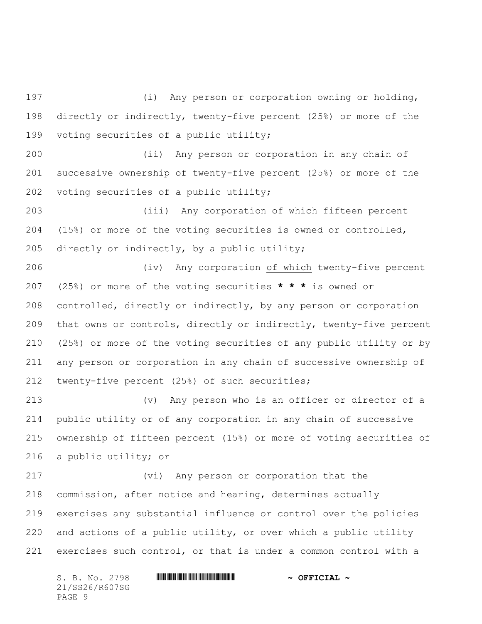(i) Any person or corporation owning or holding, directly or indirectly, twenty-five percent (25%) or more of the voting securities of a public utility;

 (ii) Any person or corporation in any chain of successive ownership of twenty-five percent (25%) or more of the voting securities of a public utility;

 (iii) Any corporation of which fifteen percent (15%) or more of the voting securities is owned or controlled, directly or indirectly, by a public utility;

 (iv) Any corporation of which twenty-five percent (25%) or more of the voting securities **\* \* \*** is owned or controlled, directly or indirectly, by any person or corporation that owns or controls, directly or indirectly, twenty-five percent (25%) or more of the voting securities of any public utility or by any person or corporation in any chain of successive ownership of twenty-five percent (25%) of such securities;

 (v) Any person who is an officer or director of a public utility or of any corporation in any chain of successive ownership of fifteen percent (15%) or more of voting securities of a public utility; or

 (vi) Any person or corporation that the commission, after notice and hearing, determines actually exercises any substantial influence or control over the policies and actions of a public utility, or over which a public utility exercises such control, or that is under a common control with a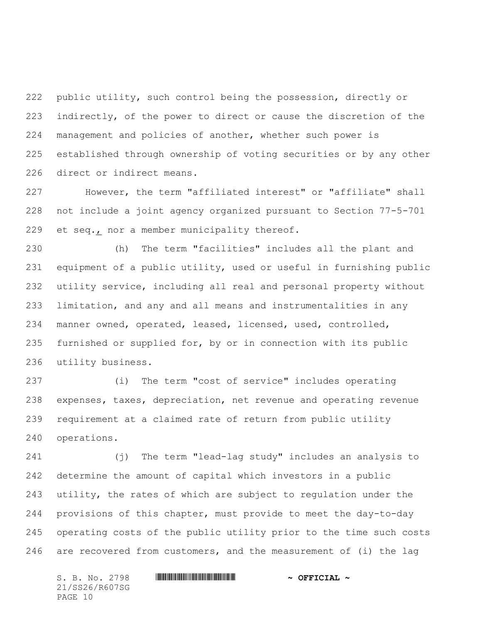public utility, such control being the possession, directly or indirectly, of the power to direct or cause the discretion of the management and policies of another, whether such power is established through ownership of voting securities or by any other direct or indirect means.

 However, the term "affiliated interest" or "affiliate" shall not include a joint agency organized pursuant to Section 77-5-701 et seq., nor a member municipality thereof.

 (h) The term "facilities" includes all the plant and equipment of a public utility, used or useful in furnishing public utility service, including all real and personal property without limitation, and any and all means and instrumentalities in any manner owned, operated, leased, licensed, used, controlled, furnished or supplied for, by or in connection with its public utility business.

 (i) The term "cost of service" includes operating expenses, taxes, depreciation, net revenue and operating revenue requirement at a claimed rate of return from public utility operations.

 (j) The term "lead-lag study" includes an analysis to determine the amount of capital which investors in a public utility, the rates of which are subject to regulation under the provisions of this chapter, must provide to meet the day-to-day operating costs of the public utility prior to the time such costs are recovered from customers, and the measurement of (i) the lag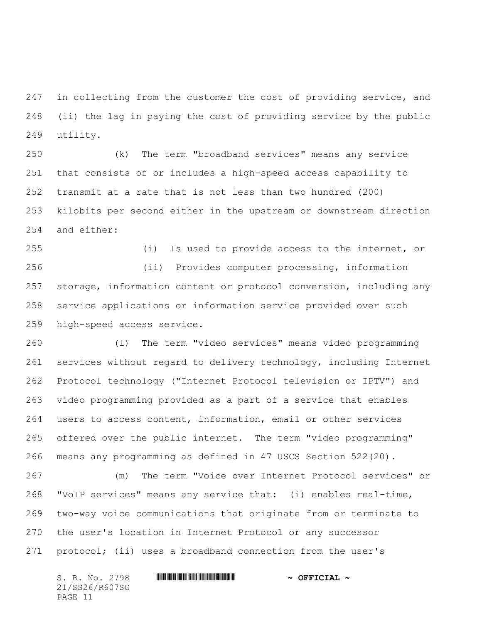in collecting from the customer the cost of providing service, and (ii) the lag in paying the cost of providing service by the public utility.

 (k) The term "broadband services" means any service that consists of or includes a high-speed access capability to transmit at a rate that is not less than two hundred (200) kilobits per second either in the upstream or downstream direction and either:

 (i) Is used to provide access to the internet, or (ii) Provides computer processing, information storage, information content or protocol conversion, including any service applications or information service provided over such high-speed access service.

 (l) The term "video services" means video programming services without regard to delivery technology, including Internet Protocol technology ("Internet Protocol television or IPTV") and video programming provided as a part of a service that enables users to access content, information, email or other services offered over the public internet. The term "video programming" means any programming as defined in 47 USCS Section 522(20).

 (m) The term "Voice over Internet Protocol services" or "VoIP services" means any service that: (i) enables real-time, two-way voice communications that originate from or terminate to the user's location in Internet Protocol or any successor protocol; (ii) uses a broadband connection from the user's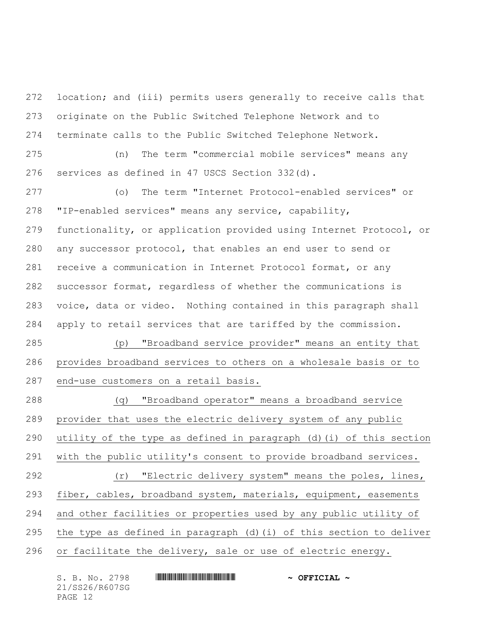location; and (iii) permits users generally to receive calls that originate on the Public Switched Telephone Network and to terminate calls to the Public Switched Telephone Network. (n) The term "commercial mobile services" means any

services as defined in 47 USCS Section 332(d).

 (o) The term "Internet Protocol-enabled services" or "IP-enabled services" means any service, capability, functionality, or application provided using Internet Protocol, or any successor protocol, that enables an end user to send or receive a communication in Internet Protocol format, or any successor format, regardless of whether the communications is voice, data or video. Nothing contained in this paragraph shall apply to retail services that are tariffed by the commission. (p) "Broadband service provider" means an entity that

 provides broadband services to others on a wholesale basis or to end-use customers on a retail basis.

 (q) "Broadband operator" means a broadband service provider that uses the electric delivery system of any public utility of the type as defined in paragraph (d)(i) of this section with the public utility's consent to provide broadband services. (r) "Electric delivery system" means the poles, lines, fiber, cables, broadband system, materials, equipment, easements and other facilities or properties used by any public utility of the type as defined in paragraph (d)(i) of this section to deliver or facilitate the delivery, sale or use of electric energy.

| S. B. No. 2798 | $\sim$ OFFICIAL $\sim$ |
|----------------|------------------------|
| 21/SS26/R607SG |                        |
| PAGE 12        |                        |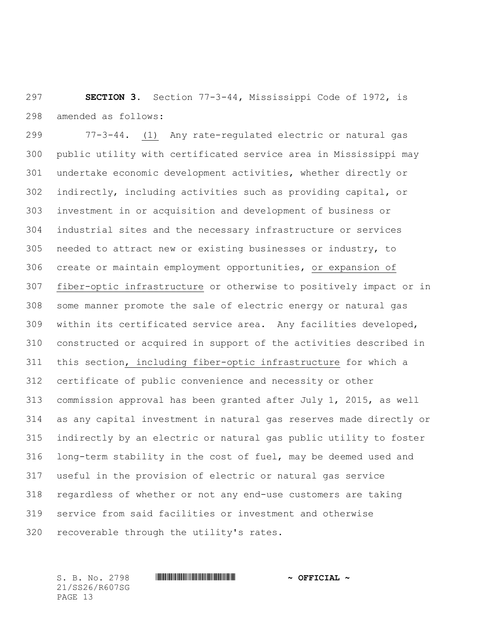**SECTION 3.** Section 77-3-44, Mississippi Code of 1972, is amended as follows:

 77-3-44. (1) Any rate-regulated electric or natural gas public utility with certificated service area in Mississippi may undertake economic development activities, whether directly or indirectly, including activities such as providing capital, or investment in or acquisition and development of business or industrial sites and the necessary infrastructure or services needed to attract new or existing businesses or industry, to create or maintain employment opportunities, or expansion of fiber-optic infrastructure or otherwise to positively impact or in some manner promote the sale of electric energy or natural gas within its certificated service area. Any facilities developed, constructed or acquired in support of the activities described in this section, including fiber-optic infrastructure for which a certificate of public convenience and necessity or other commission approval has been granted after July 1, 2015, as well as any capital investment in natural gas reserves made directly or indirectly by an electric or natural gas public utility to foster long-term stability in the cost of fuel, may be deemed used and useful in the provision of electric or natural gas service regardless of whether or not any end-use customers are taking service from said facilities or investment and otherwise recoverable through the utility's rates.

21/SS26/R607SG PAGE 13

## S. B. No. 2798 \*SS26/R607SG\* **~ OFFICIAL ~**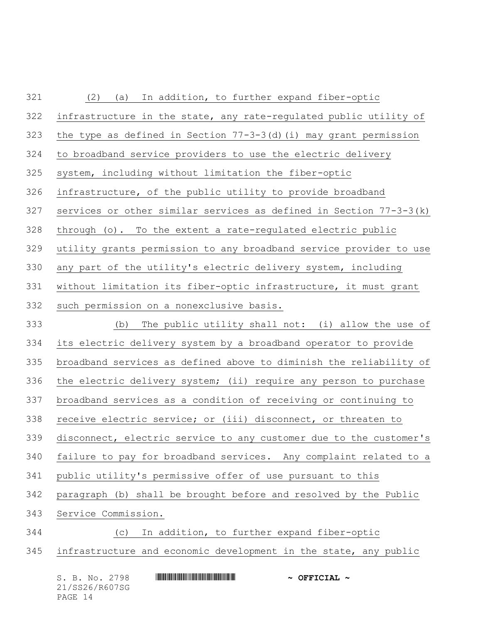| 321 | In addition, to further expand fiber-optic<br>(2)<br>(a)             |
|-----|----------------------------------------------------------------------|
| 322 | infrastructure in the state, any rate-regulated public utility of    |
| 323 | the type as defined in Section $77-3-3$ (d) (i) may grant permission |
| 324 | to broadband service providers to use the electric delivery          |
| 325 | system, including without limitation the fiber-optic                 |
| 326 | infrastructure, of the public utility to provide broadband           |
| 327 | services or other similar services as defined in Section $77-3-3(k)$ |
| 328 | through (o). To the extent a rate-regulated electric public          |
| 329 | utility grants permission to any broadband service provider to use   |
| 330 | any part of the utility's electric delivery system, including        |
| 331 | without limitation its fiber-optic infrastructure, it must grant     |
| 332 | such permission on a nonexclusive basis.                             |
| 333 | The public utility shall not: (i) allow the use of<br>(b)            |
| 334 | its electric delivery system by a broadband operator to provide      |
| 335 | broadband services as defined above to diminish the reliability of   |
| 336 | the electric delivery system; (ii) require any person to purchase    |
| 337 | broadband services as a condition of receiving or continuing to      |
| 338 | receive electric service; or (iii) disconnect, or threaten to        |
| 339 | disconnect, electric service to any customer due to the customer's   |
| 340 | failure to pay for broadband services. Any complaint related to a    |
| 341 | public utility's permissive offer of use pursuant to this            |
| 342 | paragraph (b) shall be brought before and resolved by the Public     |
|     |                                                                      |
| 343 | Service Commission.                                                  |
| 344 | In addition, to further expand fiber-optic<br>(C)                    |
| 345 | infrastructure and economic development in the state, any public     |

| S. B. No. 2798 | $\sim$ OFFICIAL $\sim$ |
|----------------|------------------------|
| 21/SS26/R607SG |                        |
| PAGE 14        |                        |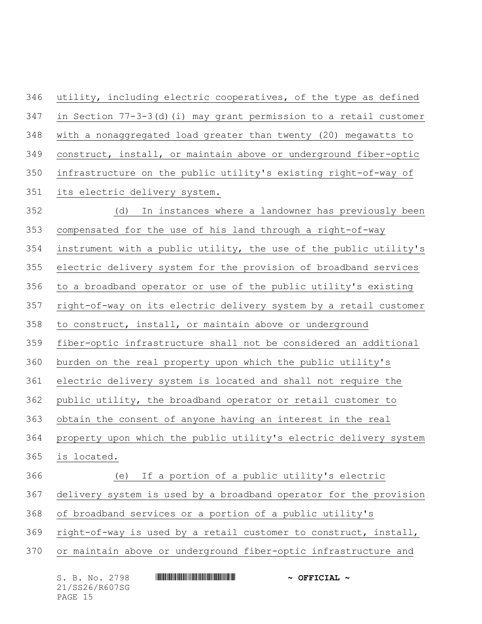utility, including electric cooperatives, of the type as defined in Section 77-3-3(d)(i) may grant permission to a retail customer with a nonaggregated load greater than twenty (20) megawatts to construct, install, or maintain above or underground fiber-optic infrastructure on the public utility's existing right-of-way of its electric delivery system. (d) In instances where a landowner has previously been compensated for the use of his land through a right-of-way instrument with a public utility, the use of the public utility's electric delivery system for the provision of broadband services to a broadband operator or use of the public utility's existing right-of-way on its electric delivery system by a retail customer to construct, install, or maintain above or underground fiber-optic infrastructure shall not be considered an additional burden on the real property upon which the public utility's electric delivery system is located and shall not require the public utility, the broadband operator or retail customer to obtain the consent of anyone having an interest in the real property upon which the public utility's electric delivery system is located. (e) If a portion of a public utility's electric delivery system is used by a broadband operator for the provision of broadband services or a portion of a public utility's right-of-way is used by a retail customer to construct, install, or maintain above or underground fiber-optic infrastructure and

| S. B. No. 2798 |  | $\sim$ OFFICIAL $\sim$ |  |
|----------------|--|------------------------|--|
| 21/SS26/R607SG |  |                        |  |
| PAGE 15        |  |                        |  |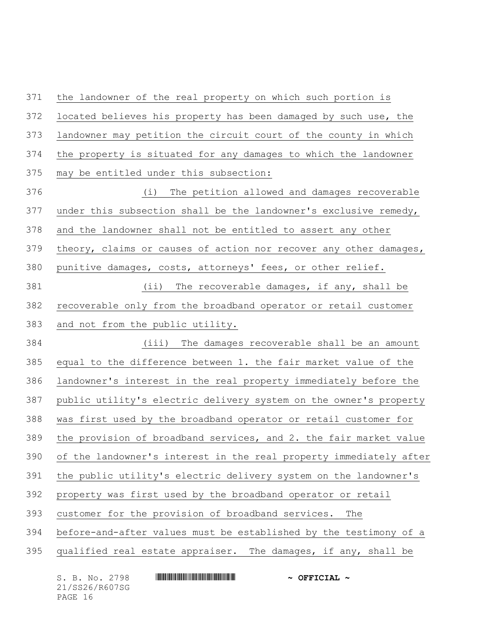the landowner of the real property on which such portion is located believes his property has been damaged by such use, the landowner may petition the circuit court of the county in which the property is situated for any damages to which the landowner may be entitled under this subsection:

 (i) The petition allowed and damages recoverable under this subsection shall be the landowner's exclusive remedy, and the landowner shall not be entitled to assert any other 379 theory, claims or causes of action nor recover any other damages, punitive damages, costs, attorneys' fees, or other relief. (ii) The recoverable damages, if any, shall be recoverable only from the broadband operator or retail customer and not from the public utility.

 (iii) The damages recoverable shall be an amount equal to the difference between 1. the fair market value of the landowner's interest in the real property immediately before the public utility's electric delivery system on the owner's property was first used by the broadband operator or retail customer for the provision of broadband services, and 2. the fair market value

of the landowner's interest in the real property immediately after

the public utility's electric delivery system on the landowner's

property was first used by the broadband operator or retail

customer for the provision of broadband services. The

before-and-after values must be established by the testimony of a

qualified real estate appraiser. The damages, if any, shall be

21/SS26/R607SG PAGE 16

S. B. No. 2798 \*SS26/R607SG\* **~ OFFICIAL ~**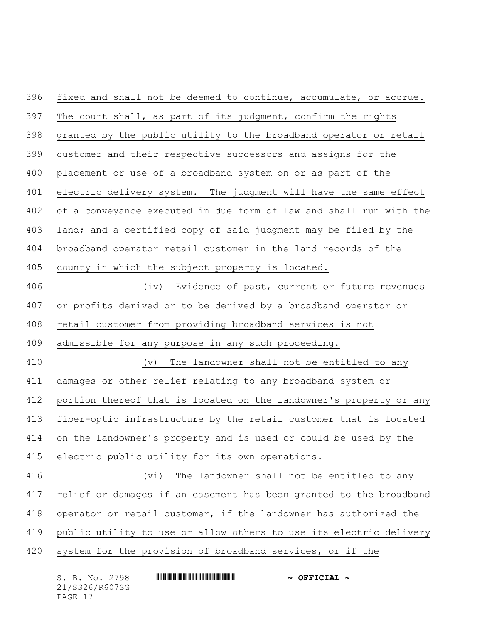| 396 | fixed and shall not be deemed to continue, accumulate, or accrue.  |
|-----|--------------------------------------------------------------------|
| 397 | The court shall, as part of its judgment, confirm the rights       |
| 398 | granted by the public utility to the broadband operator or retail  |
| 399 | customer and their respective successors and assigns for the       |
| 400 | placement or use of a broadband system on or as part of the        |
| 401 | electric delivery system. The judgment will have the same effect   |
| 402 | of a conveyance executed in due form of law and shall run with the |
| 403 | land; and a certified copy of said judgment may be filed by the    |
| 404 | broadband operator retail customer in the land records of the      |
| 405 | county in which the subject property is located.                   |
| 406 | Evidence of past, current or future revenues<br>(iv)               |
| 407 | or profits derived or to be derived by a broadband operator or     |
| 408 | retail customer from providing broadband services is not           |
| 409 | admissible for any purpose in any such proceeding.                 |
| 410 | The landowner shall not be entitled to any<br>$(\triangledown)$    |
| 411 | damages or other relief relating to any broadband system or        |
| 412 | portion thereof that is located on the landowner's property or any |
| 413 | fiber-optic infrastructure by the retail customer that is located  |
| 414 | on the landowner's property and is used or could be used by the    |
| 415 | electric public utility for its own operations.                    |
| 416 | The landowner shall not be entitled to any<br>(vi)                 |
| 417 | relief or damages if an easement has been granted to the broadband |
| 418 | operator or retail customer, if the landowner has authorized the   |
| 419 | public utility to use or allow others to use its electric delivery |
| 420 | system for the provision of broadband services, or if the          |
|     |                                                                    |

| S. B. No. 2798 | $\sim$ OFFICIAL $\sim$ |
|----------------|------------------------|
| 21/SS26/R607SG |                        |
| PAGE 17        |                        |